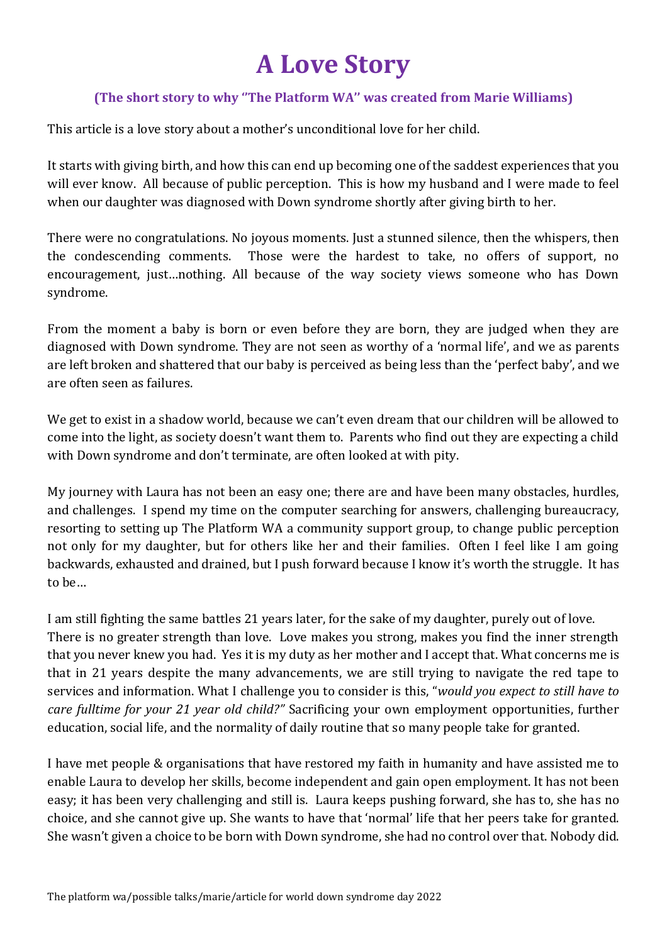## **A Love Story**

## **(The short story to why ''The Platform WA'' was created from Marie Williams)**

This article is a love story about a mother's unconditional love for her child.

It starts with giving birth, and how this can end up becoming one of the saddest experiences that you will ever know. All because of public perception. This is how my husband and I were made to feel when our daughter was diagnosed with Down syndrome shortly after giving birth to her.

There were no congratulations. No joyous moments. Just a stunned silence, then the whispers, then the condescending comments. Those were the hardest to take, no offers of support, no encouragement, just…nothing. All because of the way society views someone who has Down syndrome.

From the moment a baby is born or even before they are born, they are judged when they are diagnosed with Down syndrome. They are not seen as worthy of a 'normal life', and we as parents are left broken and shattered that our baby is perceived as being less than the 'perfect baby', and we are often seen as failures.

We get to exist in a shadow world, because we can't even dream that our children will be allowed to come into the light, as society doesn't want them to. Parents who find out they are expecting a child with Down syndrome and don't terminate, are often looked at with pity.

My journey with Laura has not been an easy one; there are and have been many obstacles, hurdles, and challenges. I spend my time on the computer searching for answers, challenging bureaucracy, resorting to setting up The Platform WA a community support group, to change public perception not only for my daughter, but for others like her and their families. Often I feel like I am going backwards, exhausted and drained, but I push forward because I know it's worth the struggle. It has to be…

I am still fighting the same battles 21 years later, for the sake of my daughter, purely out of love. There is no greater strength than love. Love makes you strong, makes you find the inner strength that you never knew you had. Yes it is my duty as her mother and I accept that. What concerns me is that in 21 years despite the many advancements, we are still trying to navigate the red tape to services and information. What I challenge you to consider is this, "*would you expect to still have to care fulltime for your 21 year old child?"* Sacrificing your own employment opportunities, further education, social life, and the normality of daily routine that so many people take for granted.

I have met people & organisations that have restored my faith in humanity and have assisted me to enable Laura to develop her skills, become independent and gain open employment. It has not been easy; it has been very challenging and still is. Laura keeps pushing forward, she has to, she has no choice, and she cannot give up. She wants to have that 'normal' life that her peers take for granted. She wasn't given a choice to be born with Down syndrome, she had no control over that. Nobody did.